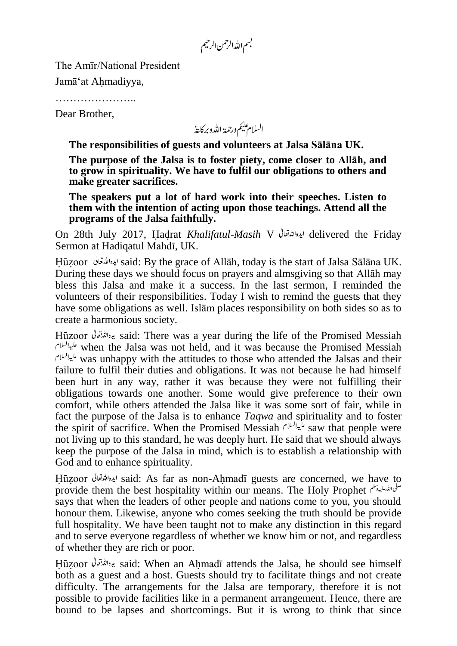بسم الله الرحمٰن الرحيم

The Amīr/National President

Jamā'at Ahmadiyya,

……………………

Dear Brother,

السلام عليم ورحمة الله وبركايةُ

**The responsibilities of guests and volunteers at Jalsa Sālāna UK.**

**The purpose of the Jalsa is to foster piety, come closer to Allāh, and to grow in spirituality. We have to fulfil our obligations to others and make greater sacrifices.**

**The speakers put a lot of hard work into their speeches. Listen to them with the intention of acting upon those teachings. Attend all the programs of the Jalsa faithfully.**

On 28th July 2017, Hadrat *Khalifatul-Masih* V delivered the Friday Sermon at Hadiqatul Mahdī, UK.

Huzoor said: By the grace of Allāh, today is the start of Jalsa Sālāna UK. During these days we should focus on prayers and almsgiving so that Allāh may bless this Jalsa and make it a success. In the last sermon, I reminded the volunteers of their responsibilities. Today I wish to remind the guests that they have some obligations as well. Islām places responsibility on both sides so as to create a harmonious society.

Huzoor said: There was a year during the life of the Promised Messiah when the Jalsa was not held, and it was because the Promised Messiah was unhappy with the attitudes to those who attended the Jalsas and their failure to fulfil their duties and obligations. It was not because he had himself been hurt in any way, rather it was because they were not fulfilling their obligations towards one another. Some would give preference to their own comfort, while others attended the Jalsa like it was some sort of fair, while in fact the purpose of the Jalsa is to enhance *Taqwa* and spirituality and to foster the spirit of sacrifice. When the Promised Messiah  $s^{\mu\nu}$  saw that people were not living up to this standard, he was deeply hurt. He said that we should always keep the purpose of the Jalsa in mind, which is to establish a relationship with God and to enhance spirituality.

Huzoor said: As far as non-Ahmadī guests are concerned, we have to provide them the best hospitality within our means. The Holy Prophet says that when the leaders of other people and nations come to you, you should honour them. Likewise, anyone who comes seeking the truth should be provide full hospitality. We have been taught not to make any distinction in this regard and to serve everyone regardless of whether we know him or not, and regardless of whether they are rich or poor.

Huzoor said: When an Ahmadī attends the Jalsa, he should see himself both as a guest and a host. Guests should try to facilitate things and not create difficulty. The arrangements for the Jalsa are temporary, therefore it is not possible to provide facilities like in a permanent arrangement. Hence, there are bound to be lapses and shortcomings. But it is wrong to think that since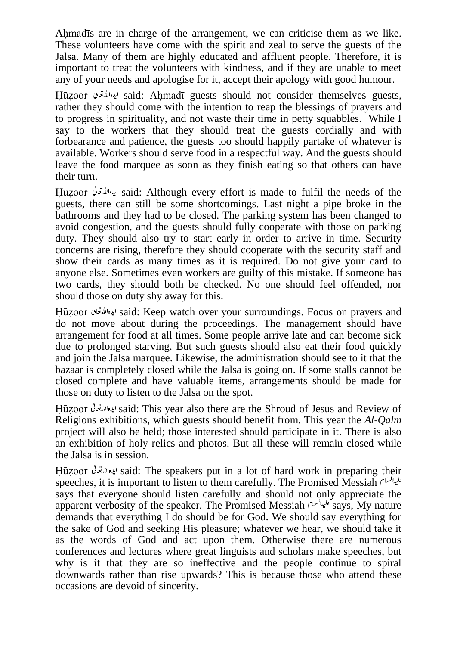Ahmadīs are in charge of the arrangement, we can criticise them as we like. These volunteers have come with the spirit and zeal to serve the guests of the Jalsa. Many of them are highly educated and affluent people. Therefore, it is important to treat the volunteers with kindness, and if they are unable to meet any of your needs and apologise for it, accept their apology with good humour.

Huzoor said: Ahmadī guests should not consider themselves guests, rather they should come with the intention to reap the blessings of prayers and to progress in spirituality, and not waste their time in petty squabbles. While I say to the workers that they should treat the guests cordially and with forbearance and patience, the guests too should happily partake of whatever is available. Workers should serve food in a respectful way. And the guests should leave the food marquee as soon as they finish eating so that others can have their turn.

Huzoor said: Although every effort is made to fulfil the needs of the guests, there can still be some shortcomings. Last night a pipe broke in the bathrooms and they had to be closed. The parking system has been changed to avoid congestion, and the guests should fully cooperate with those on parking duty. They should also try to start early in order to arrive in time. Security concerns are rising, therefore they should cooperate with the security staff and show their cards as many times as it is required. Do not give your card to anyone else. Sometimes even workers are guilty of this mistake. If someone has two cards, they should both be checked. No one should feel offended, nor should those on duty shy away for this.

Huzoor said: Keep watch over your surroundings. Focus on prayers and do not move about during the proceedings. The management should have arrangement for food at all times. Some people arrive late and can become sick due to prolonged starving. But such guests should also eat their food quickly and join the Jalsa marquee. Likewise, the administration should see to it that the bazaar is completely closed while the Jalsa is going on. If some stalls cannot be closed complete and have valuable items, arrangements should be made for those on duty to listen to the Jalsa on the spot.

Huzoor said: This year also there are the Shroud of Jesus and Review of Religions exhibitions, which guests should benefit from. This year the *Al-Qalm* project will also be held; those interested should participate in it. There is also an exhibition of holy relics and photos. But all these will remain closed while the Jalsa is in session.

Huzoor said: The speakers put in a lot of hard work in preparing their speeches, it is important to listen to them carefully. The Promised Messiah says that everyone should listen carefully and should not only appreciate the apparent verbosity of the speaker. The Promised Messiah  $s^{\mu\nu}$ says, My nature demands that everything I do should be for God. We should say everything for the sake of God and seeking His pleasure; whatever we hear, we should take it as the words of God and act upon them. Otherwise there are numerous conferences and lectures where great linguists and scholars make speeches, but why is it that they are so ineffective and the people continue to spiral downwards rather than rise upwards? This is because those who attend these occasions are devoid of sincerity.